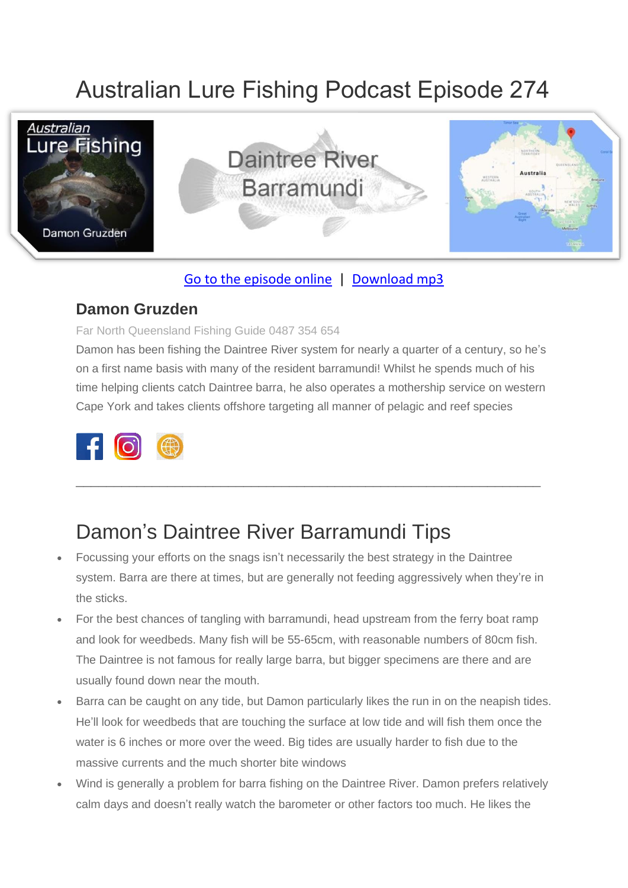# Australian Lure Fishing Podcast Episode 274



### [Go to the episode online](https://doclures.com/daintree-barramundi-damon-gruzden/) | [Download mp3](https://traffic.libsyn.com/secure/doclures/daintree-barramundi-damon-gruzden.mp3)

### **Damon Gruzden**

#### Far North Queensland Fishing Guide 0487 354 654

Damon has been fishing the Daintree River system for nearly a quarter of a century, so he's on a first name basis with many of the resident barramundi! Whilst he spends much of his time helping clients catch Daintree barra, he also operates a mothership service on western Cape York and takes clients offshore targeting all manner of pelagic and reef species

\_\_\_\_\_\_\_\_\_\_\_\_\_\_\_\_\_\_\_\_\_\_\_\_\_\_\_\_\_\_\_\_\_\_\_\_\_\_\_\_\_\_\_\_\_\_\_\_\_\_\_\_\_\_\_\_\_\_\_\_\_



# Damon's Daintree River Barramundi Tips

- Focussing your efforts on the snags isn't necessarily the best strategy in the Daintree system. Barra are there at times, but are generally not feeding aggressively when they're in the sticks.
- For the best chances of tangling with barramundi, head upstream from the ferry boat ramp and look for weedbeds. Many fish will be 55-65cm, with reasonable numbers of 80cm fish. The Daintree is not famous for really large barra, but bigger specimens are there and are usually found down near the mouth.
- Barra can be caught on any tide, but Damon particularly likes the run in on the neapish tides. He'll look for weedbeds that are touching the surface at low tide and will fish them once the water is 6 inches or more over the weed. Big tides are usually harder to fish due to the massive currents and the much shorter bite windows
- Wind is generally a problem for barra fishing on the Daintree River. Damon prefers relatively calm days and doesn't really watch the barometer or other factors too much. He likes the